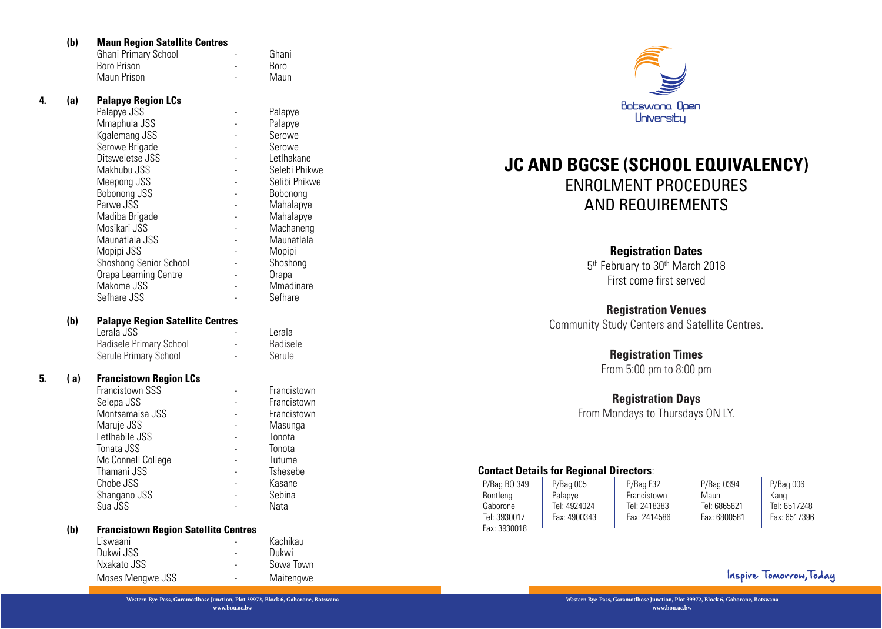| <b>Ghani Primary School</b> | $\overline{\phantom{a}}$ | Ghani       |
|-----------------------------|--------------------------|-------------|
| Boro Prison                 |                          | <b>Boro</b> |
| Maun Prison                 |                          | Maun        |

## **4. (a) Palapye Region LCs**

|    | (b) | <b>Maun Region Satellite Centres</b>                                             |                |                  |                                                                                |
|----|-----|----------------------------------------------------------------------------------|----------------|------------------|--------------------------------------------------------------------------------|
|    |     | Ghani Primary School                                                             |                | Ghani            |                                                                                |
|    |     | Boro Prison                                                                      |                | Boro             |                                                                                |
|    |     | Maun Prison                                                                      |                | Maun             |                                                                                |
| 4. | (a) | <b>Palapye Region LCs</b>                                                        |                |                  | Botswana Ope                                                                   |
|    |     | Palapye JSS                                                                      |                | Palapye          | Universiby                                                                     |
|    |     | Mmaphula JSS                                                                     |                | Palapye          |                                                                                |
|    |     | Kgalemang JSS                                                                    |                | Serowe           |                                                                                |
|    |     | Serowe Brigade                                                                   |                | Serowe           |                                                                                |
|    |     | Ditsweletse JSS                                                                  |                | Letlhakane       | <b>JC AND BGCSE (SCHOOL</b>                                                    |
|    |     | Makhubu JSS                                                                      |                | Selebi Phikwe    |                                                                                |
|    |     | Meepong JSS                                                                      |                | Selibi Phikwe    | <b>ENROLMENT PROC</b>                                                          |
|    |     | Bobonong JSS                                                                     |                | Bobonong         |                                                                                |
|    |     | Parwe JSS                                                                        |                | Mahalapye        | <b>AND REQUIREM</b>                                                            |
|    |     | Madiba Brigade                                                                   |                | Mahalapye        |                                                                                |
|    |     | Mosikari JSS                                                                     |                | Machaneng        |                                                                                |
|    |     | Maunatlala JSS                                                                   |                | Maunatlala       |                                                                                |
|    |     | Mopipi JSS                                                                       |                | Mopipi           | <b>Registration Dat</b>                                                        |
|    |     | <b>Shoshong Senior School</b>                                                    |                | Shoshong         | 5 <sup>th</sup> February to 30 <sup>th</sup> Mar                               |
|    |     | Orapa Learning Centre                                                            |                | Orapa            | First come first ser                                                           |
|    |     | Makome JSS                                                                       |                | Mmadinare        |                                                                                |
|    |     | Sefhare JSS                                                                      |                | Sefhare          |                                                                                |
|    |     |                                                                                  |                |                  | <b>Registration Venu</b>                                                       |
|    | (b) | <b>Palapye Region Satellite Centres</b>                                          |                |                  | <b>Community Study Centers and S</b>                                           |
|    |     | Lerala JSS                                                                       |                | Lerala           |                                                                                |
|    |     | Radisele Primary School                                                          | $\sim$         | Radisele         |                                                                                |
|    |     | Serule Primary School                                                            | $\overline{a}$ | Serule           | <b>Registration Tim</b>                                                        |
|    |     |                                                                                  |                |                  | From 5:00 pm to 8:0                                                            |
| 5. | (a) | <b>Francistown Region LCs</b>                                                    |                |                  |                                                                                |
|    |     | Francistown SSS                                                                  |                | Francistown      | <b>Registration Day</b>                                                        |
|    |     | Selepa JSS                                                                       |                | Francistown      |                                                                                |
|    |     | Montsamaisa JSS                                                                  |                | Francistown      | From Mondays to Thursda                                                        |
|    |     | Maruje JSS                                                                       |                | Masunga          |                                                                                |
|    |     | Letlhabile JSS                                                                   |                | Tonota           |                                                                                |
|    |     | Tonata JSS                                                                       |                | Tonota           |                                                                                |
|    |     | Mc Connell College                                                               |                | Tutume           | <b>Contact Details for Regional Directors:</b>                                 |
|    |     | Thamani JSS                                                                      |                | Tshesebe         |                                                                                |
|    |     | Chobe JSS                                                                        |                | Kasane<br>Sebina | P/Bag BO 349<br>P/Bag 005<br>P/Bag F32                                         |
|    |     | Shangano JSS<br>Sua JSS                                                          | $\overline{a}$ | Nata             | Francistown<br>Bontleng<br>Palapye<br>Tel: 4924024<br>Tel: 2418383<br>Gaborone |
|    |     |                                                                                  |                |                  | Tel: 3930017<br>Fax: 4900343<br>Fax: 2414586                                   |
|    | (b) | <b>Francistown Region Satellite Centres</b>                                      |                |                  | Fax: 3930018                                                                   |
|    |     | Liswaani                                                                         |                | Kachikau         |                                                                                |
|    |     | Dukwi JSS                                                                        |                | Dukwi            |                                                                                |
|    |     | Nxakato JSS                                                                      |                | Sowa Town        |                                                                                |
|    |     |                                                                                  |                |                  |                                                                                |
|    |     | Moses Mengwe JSS                                                                 |                | Maitengwe        |                                                                                |
|    |     | Western Bye-Pass, Garamotlhose Junction, Plot 39972, Block 6, Gaborone, Botswana |                |                  | Western Bye-Pass, Garamotlhose Junction, Plot 39                               |
|    |     |                                                                                  | www.bou.ac.bw  |                  | www.bou.ac.bw                                                                  |

## **(b) Palapye Region Satellite Centres**

| Lerala JSS              | $\overline{\phantom{a}}$ | Lerala   |
|-------------------------|--------------------------|----------|
| Radisele Primary School | $\overline{\phantom{a}}$ | Radisele |
| Serule Primary School   | $\overline{\phantom{a}}$ | Serule   |

## **5. ( a) Francistown Region LCs**

| Francistown SSS    | Francistown |
|--------------------|-------------|
| Selepa JSS         | Francistown |
| Montsamaisa JSS    | Francistown |
| Maruje JSS         | Masunga     |
| Letlhabile JSS     | Tonota      |
| Tonata JSS         | Tonota      |
| Mc Connell College | Tutume      |
| Thamani JSS        | Tshesebe    |
| Chobe JSS          | Kasane      |
| Shangano JSS       | Sebina      |
| Sua JSS            | Nata        |

#### **(b) Francistown Region Satellite Centres**

| Liswaani         |                          | Kachikau  |
|------------------|--------------------------|-----------|
| Dukwi JSS        |                          | Dukwi     |
| Nxakato JSS      | $\overline{\phantom{0}}$ | Sowa Town |
| Moses Mengwe JSS |                          | Maitengwe |



# **JC AND BGCSE (SCHOOL EQUIVALENCY)**  ENROLMENT PROCEDURES AND REQUIREMENTS

## **Registration Dates**

5<sup>th</sup> February to 30<sup>th</sup> March 2018 First come first served

## **Registration Venues**

Community Study Centers and Satellite Centres.

## **Registration Times**

From 5:00 pm to 8:00 pm

## **Registration Days**

From Mondays to Thursdays ON LY.

## **Contact Details for Regional Directors**:

| P/Bag BO 349 | $P/B$ aq 005 | P/Bag F32    | P/Bag 0394   | P/Baq006     |
|--------------|--------------|--------------|--------------|--------------|
| Bontlena     | Palapve      | Francistown  | Maun         | Kang         |
| Gaborone     | Tel: 4924024 | Tel: 2418383 | Tel: 6865621 | Tel: 6517248 |
| Tel: 3930017 | Fax: 4900343 | Fax: 2414586 | Fax: 6800581 | Fax: 6517396 |
| Fax: 3930018 |              |              |              |              |